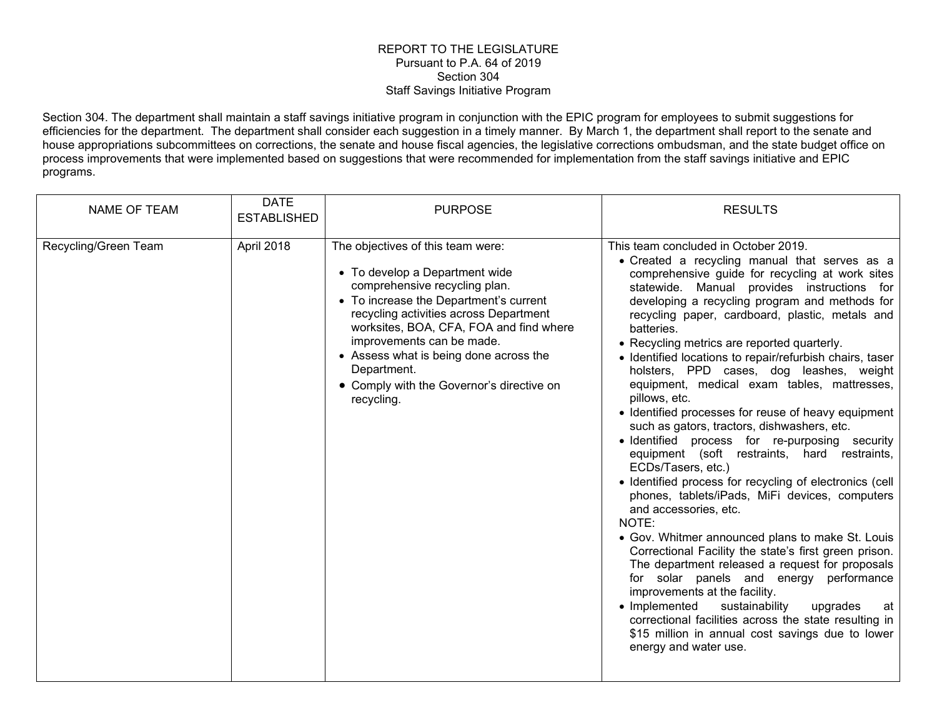## REPORT TO THE LEGISLATURE Pursuant to P.A. 64 of 2019 Section 304 Staff Savings Initiative Program

Section 304. The department shall maintain a staff savings initiative program in conjunction with the EPIC program for employees to submit suggestions for efficiencies for the department. The department shall consider each suggestion in a timely manner. By March 1, the department shall report to the senate and house appropriations subcommittees on corrections, the senate and house fiscal agencies, the legislative corrections ombudsman, and the state budget office on process improvements that were implemented based on suggestions that were recommended for implementation from the staff savings initiative and EPIC programs.

| <b>NAME OF TEAM</b>  | <b>DATE</b><br><b>ESTABLISHED</b> | <b>PURPOSE</b>                                                                                                                                                                                                                                                                                                                                                                       | <b>RESULTS</b>                                                                                                                                                                                                                                                                                                                                                                                                                                                                                                                                                                                                                                                                                                                                                                                                                                                                                                                                                                                                                                                                                                                                                                                                                                                                                                                                        |
|----------------------|-----------------------------------|--------------------------------------------------------------------------------------------------------------------------------------------------------------------------------------------------------------------------------------------------------------------------------------------------------------------------------------------------------------------------------------|-------------------------------------------------------------------------------------------------------------------------------------------------------------------------------------------------------------------------------------------------------------------------------------------------------------------------------------------------------------------------------------------------------------------------------------------------------------------------------------------------------------------------------------------------------------------------------------------------------------------------------------------------------------------------------------------------------------------------------------------------------------------------------------------------------------------------------------------------------------------------------------------------------------------------------------------------------------------------------------------------------------------------------------------------------------------------------------------------------------------------------------------------------------------------------------------------------------------------------------------------------------------------------------------------------------------------------------------------------|
| Recycling/Green Team | April 2018                        | The objectives of this team were:<br>• To develop a Department wide<br>comprehensive recycling plan.<br>• To increase the Department's current<br>recycling activities across Department<br>worksites, BOA, CFA, FOA and find where<br>improvements can be made.<br>• Assess what is being done across the<br>Department.<br>• Comply with the Governor's directive on<br>recycling. | This team concluded in October 2019.<br>• Created a recycling manual that serves as a<br>comprehensive guide for recycling at work sites<br>statewide. Manual provides instructions for<br>developing a recycling program and methods for<br>recycling paper, cardboard, plastic, metals and<br>batteries.<br>• Recycling metrics are reported quarterly.<br>• Identified locations to repair/refurbish chairs, taser<br>holsters, PPD cases, dog leashes, weight<br>equipment, medical exam tables, mattresses,<br>pillows, etc.<br>• Identified processes for reuse of heavy equipment<br>such as gators, tractors, dishwashers, etc.<br>· Identified process for re-purposing security<br>equipment (soft restraints, hard restraints,<br>ECDs/Tasers, etc.)<br>• Identified process for recycling of electronics (cell<br>phones, tablets/iPads, MiFi devices, computers<br>and accessories, etc.<br>NOTE:<br>• Gov. Whitmer announced plans to make St. Louis<br>Correctional Facility the state's first green prison.<br>The department released a request for proposals<br>for solar panels and energy performance<br>improvements at the facility.<br>• Implemented<br>sustainability<br>upgrades<br>at<br>correctional facilities across the state resulting in<br>\$15 million in annual cost savings due to lower<br>energy and water use. |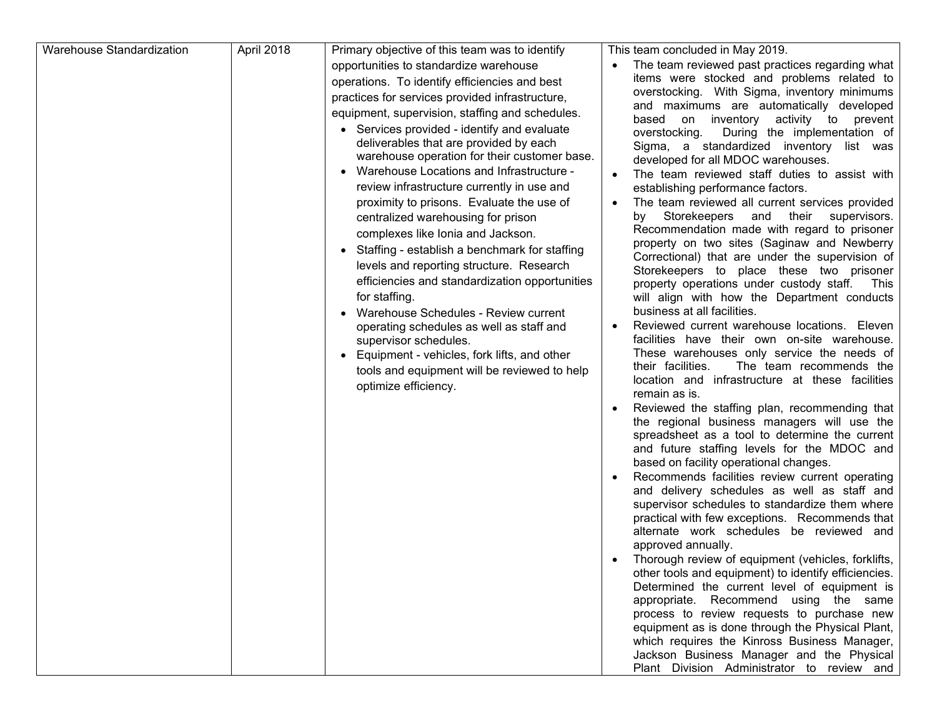| Warehouse Standardization | April 2018 | Primary objective of this team was to identify                                                                                                                                                                                                                                                                                                                                                                                                                                                                                                                                                                                                                                                                                                                                                                                                                                                                                                                                                      | This team concluded in May 2019.                                                                                                                                                                                                                                                                                                                                                                                                                                                                                                                                                                                                                                                                                                                                                                                                                                                                                                                                                                                                                                                                                                                                                                                                                                                                                                                                                                                                                                                                                                                                                                                                                                                                                                                                                                                                                                                                                                                                                                                                                                                                                                          |
|---------------------------|------------|-----------------------------------------------------------------------------------------------------------------------------------------------------------------------------------------------------------------------------------------------------------------------------------------------------------------------------------------------------------------------------------------------------------------------------------------------------------------------------------------------------------------------------------------------------------------------------------------------------------------------------------------------------------------------------------------------------------------------------------------------------------------------------------------------------------------------------------------------------------------------------------------------------------------------------------------------------------------------------------------------------|-------------------------------------------------------------------------------------------------------------------------------------------------------------------------------------------------------------------------------------------------------------------------------------------------------------------------------------------------------------------------------------------------------------------------------------------------------------------------------------------------------------------------------------------------------------------------------------------------------------------------------------------------------------------------------------------------------------------------------------------------------------------------------------------------------------------------------------------------------------------------------------------------------------------------------------------------------------------------------------------------------------------------------------------------------------------------------------------------------------------------------------------------------------------------------------------------------------------------------------------------------------------------------------------------------------------------------------------------------------------------------------------------------------------------------------------------------------------------------------------------------------------------------------------------------------------------------------------------------------------------------------------------------------------------------------------------------------------------------------------------------------------------------------------------------------------------------------------------------------------------------------------------------------------------------------------------------------------------------------------------------------------------------------------------------------------------------------------------------------------------------------------|
|                           |            | opportunities to standardize warehouse<br>operations. To identify efficiencies and best<br>practices for services provided infrastructure,<br>equipment, supervision, staffing and schedules.<br>• Services provided - identify and evaluate<br>deliverables that are provided by each<br>warehouse operation for their customer base.<br>Warehouse Locations and Infrastructure -<br>review infrastructure currently in use and<br>proximity to prisons. Evaluate the use of<br>centralized warehousing for prison<br>complexes like Ionia and Jackson.<br>Staffing - establish a benchmark for staffing<br>$\bullet$<br>levels and reporting structure. Research<br>efficiencies and standardization opportunities<br>for staffing.<br>Warehouse Schedules - Review current<br>$\bullet$<br>operating schedules as well as staff and<br>supervisor schedules.<br>Equipment - vehicles, fork lifts, and other<br>$\bullet$<br>tools and equipment will be reviewed to help<br>optimize efficiency. | The team reviewed past practices regarding what<br>items were stocked and problems related to<br>overstocking. With Sigma, inventory minimums<br>and maximums are automatically developed<br>based on inventory<br>activity to prevent<br>During the implementation of<br>overstocking.<br>Sigma, a standardized inventory<br>list was<br>developed for all MDOC warehouses.<br>The team reviewed staff duties to assist with<br>establishing performance factors.<br>The team reviewed all current services provided<br>by Storekeepers<br>and<br>their supervisors.<br>Recommendation made with regard to prisoner<br>property on two sites (Saginaw and Newberry<br>Correctional) that are under the supervision of<br>Storekeepers to place these two prisoner<br>property operations under custody staff. This<br>will align with how the Department conducts<br>business at all facilities.<br>Reviewed current warehouse locations. Eleven<br>facilities have their own on-site warehouse.<br>These warehouses only service the needs of<br>their facilities.<br>The team recommends the<br>location and infrastructure at these facilities<br>remain as is.<br>Reviewed the staffing plan, recommending that<br>the regional business managers will use the<br>spreadsheet as a tool to determine the current<br>and future staffing levels for the MDOC and<br>based on facility operational changes.<br>Recommends facilities review current operating<br>and delivery schedules as well as staff and<br>supervisor schedules to standardize them where<br>practical with few exceptions. Recommends that<br>alternate work schedules be reviewed and<br>approved annually.<br>Thorough review of equipment (vehicles, forklifts,<br>other tools and equipment) to identify efficiencies.<br>Determined the current level of equipment is<br>appropriate. Recommend using the same<br>process to review requests to purchase new<br>equipment as is done through the Physical Plant,<br>which requires the Kinross Business Manager,<br>Jackson Business Manager and the Physical<br>Plant Division Administrator to review and |